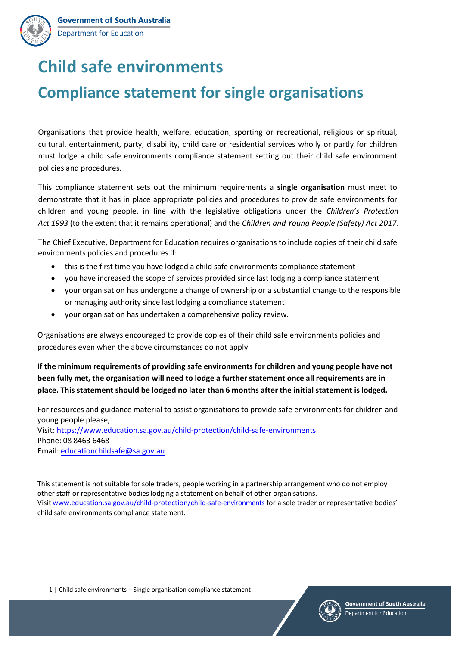

# **Child safe environments**

# **Compliance statement for single organisations**

Organisations that provide health, welfare, education, sporting or recreational, religious or spiritual, cultural, entertainment, party, disability, child care or residential services wholly or partly for children must lodge a child safe environments compliance statement setting out their child safe environment policies and procedures.

This compliance statement sets out the minimum requirements a **single organisation** must meet to demonstrate that it has in place appropriate policies and procedures to provide safe environments for children and young people, in line with the legislative obligations under the *Children's Protection Act 1993* (to the extent that it remains operational) and the *Children and Young People (Safety) Act 2017*.

The Chief Executive, Department for Education requires organisations to include copies of their child safe environments policies and procedures if:

- this is the first time you have lodged a child safe environments compliance statement
- you have increased the scope of services provided since last lodging a compliance statement
- your organisation has undergone a change of ownership or a substantial change to the responsible or managing authority since last lodging a compliance statement
- your organisation has undertaken a comprehensive policy review.

Organisations are always encouraged to provide copies of their child safe environments policies and procedures even when the above circumstances do not apply.

**If the minimum requirements of providing safe environments for children and young people have not been fully met, the organisation will need to lodge a further statement once all requirements are in place. This statement should be lodged no later than 6 months after the initial statement is lodged.** 

For resources and guidance material to assist organisations to provide safe environments for children and young people please, Visit: <https://www.education.sa.gov.au/child-protection/child-safe-environments> Phone: 08 8463 6468 Email: [educationchildsafe@sa.gov.au](mailto:educationchildsafe@sa.gov.au) 

This statement is not suitable for sole traders, people working in a partnership arrangement who do not employ other staff or representative bodies lodging a statement on behalf of other organisations. Visit [www.education.sa.gov.au/child-protection/child-safe-environments](http://www.education.sa.gov.au/child-protection/child-safe-environments) for a sole trader or representative bodies' child safe environments compliance statement.

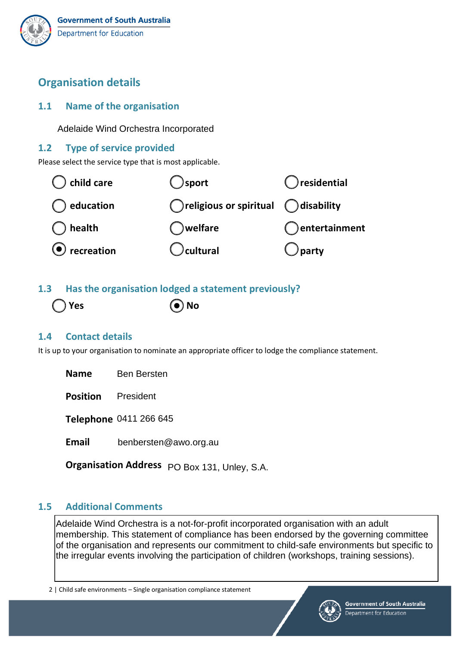# **Organisation details**

## **1.1 Name of the organisation**

Adelaide Wind Orchestra Incorporated

## **1.2 Type of service provided**

Please select the service type that is most applicable.



# **1.3 Has the organisation lodged a statement previously?**

Yes ( $\bullet$ ) No

# **1.4 Contact details**

It is up to your organisation to nominate an appropriate officer to lodge the compliance statement.

**Name**  Ben Bersten

**Position** 

**Position** President<br>Telephone 0411 266 645

**Email**  benbersten@awo.org.au

**Organisation Address** PO Box 131, Unley, S.A.

## **1.5 Additional Comments**

Adelaide Wind Orchestra is a not-for-profit incorporated organisation with an adult membership. This statement of compliance has been endorsed by the governing committee of the organisation and represents our commitment to child-safe environments but specific to the irregular events involving the participation of children (workshops, training sessions).

2 | Child safe environments – Single organisation compliance statement

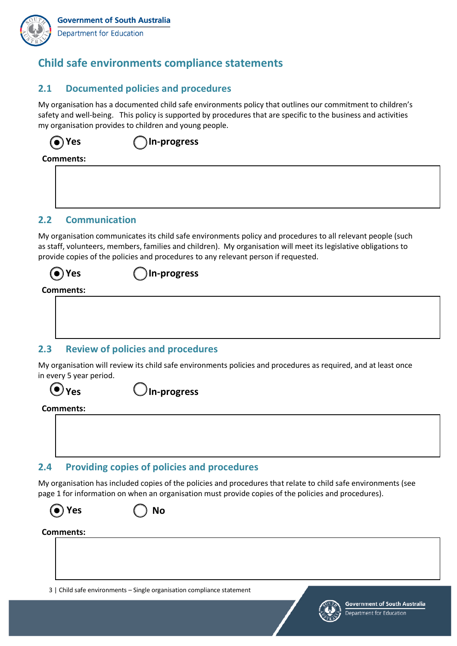

# **Child safe environments compliance statements**

#### **2.1 Documented policies and procedures**

My organisation has a documented child safe environments policy that outlines our commitment to children's safety and well-being. This policy is supported by procedures that are specific to the business and activities my organisation provides to children and young people.

**Yes In-progress**

**Comments:** 

#### **2.2 Communication**

My organisation communicates its child safe environments policy and procedures to all relevant people (such as staff, volunteers, members, families and children). My organisation will meet its legislative obligations to provide copies of the policies and procedures to any relevant person if requested.

#### **Yes In-progress**

#### **Comments:**

#### **2.3 Review of policies and procedures**

My organisation will review its child safe environments policies and procedures as required, and at least once in every 5 year period.

# **(** $\bullet$  Yes  $\bullet$  In-progress

#### **Comments:**

#### **2.4 Providing copies of policies and procedures**

My organisation has included copies of the policies and procedures that relate to child safe environments (see page 1 for information on when an organisation must provide copies of the policies and procedures).



#### **Yes No**

#### **Comments:**

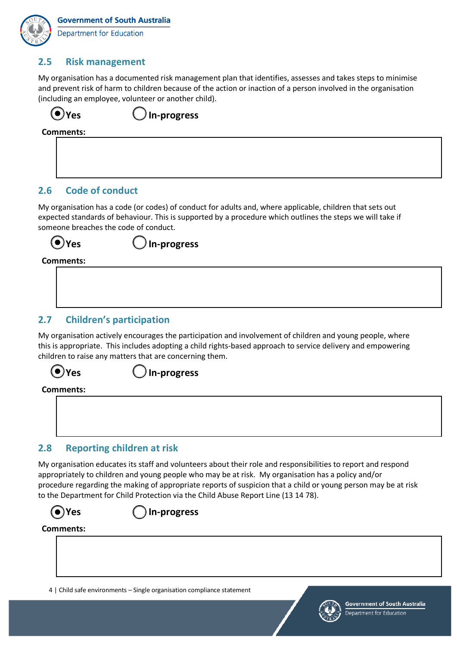### **2.5 Risk management**

My organisation has a documented risk management plan that identifies, assesses and takes steps to minimise and prevent risk of harm to children because of the action or inaction of a person involved in the organisation (including an employee, volunteer or another child).

(a) Yes  $\bigcup$  In-progress **Comments:** 

#### **2.6 Code of conduct**

My organisation has a code (or codes) of conduct for adults and, where applicable, children that sets out expected standards of behaviour. This is supported by a procedure which outlines the steps we will take if someone breaches the code of conduct.

**Yes In-progress**

#### **Comments:**

#### **2.7 Children's participation**

My organisation actively encourages the participation and involvement of children and young people, where this is appropriate. This includes adopting a child rights-based approach to service delivery and empowering children to raise any matters that are concerning them.

# **O**Yes Un-progress

**Comments:** 



## **2.8 Reporting children at risk**

My organisation educates its staff and volunteers about their role and responsibilities to report and respond appropriately to children and young people who may be at risk. My organisation has a policy and/or procedure regarding the making of appropriate reports of suspicion that a child or young person may be at risk to the Department for Child Protection via the Child Abuse Report Line (13 14 78).



**Yes In-progress**

#### **Comments:**

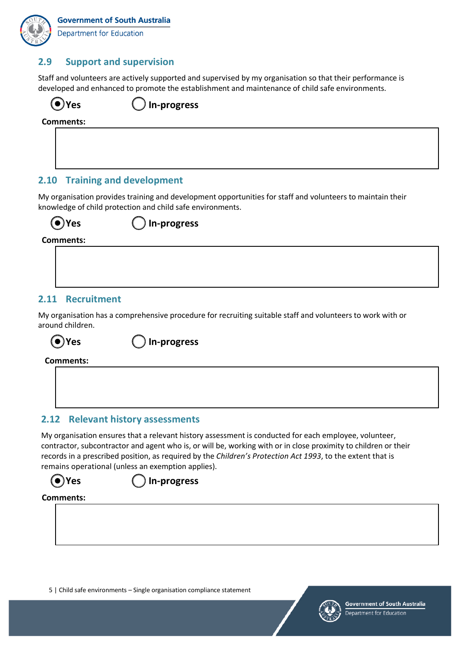**Department for Education** 

## **2.9 Support and supervision**

Staff and volunteers are actively supported and supervised by my organisation so that their performance is developed and enhanced to promote the establishment and maintenance of child safe environments.

**In-progress** 

**Comments:** 

#### **2.10 Training and development**

My organisation provides training and development opportunities for staff and volunteers to maintain their knowledge of child protection and child safe environments.

**Yes In-progress**

**Comments:** 

#### **2.11 Recruitment**

My organisation has a comprehensive procedure for recruiting suitable staff and volunteers to work with or around children.

**Yes In-progress**

**Comments:**

#### **2.12 Relevant history assessments**

My organisation ensures that a relevant history assessment is conducted for each employee, volunteer, contractor, subcontractor and agent who is, or will be, working with or in close proximity to children or their records in a prescribed position, as required by the *Children's Protection Act 1993*, to the extent that is remains operational (unless an exemption applies).



#### **Comments:**